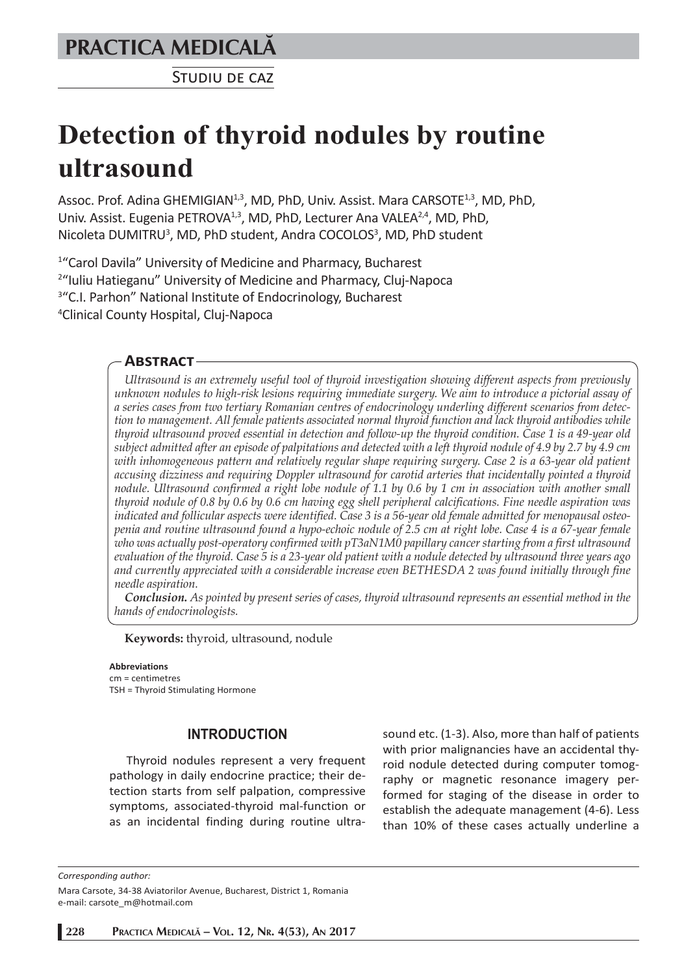# **PRACTICA MEDICALÅ**

STUDIU DE CAZ

# **Detection of thyroid nodules by routine ultrasound**

Assoc. Prof. Adina GHEMIGIAN<sup>1,3</sup>, MD, PhD, Univ. Assist. Mara CARSOTE<sup>1,3</sup>, MD, PhD, Univ. Assist. Eugenia PETROVA<sup>1,3</sup>, MD, PhD, Lecturer Ana VALEA<sup>2,4</sup>, MD, PhD, Nicoleta DUMITRU<sup>3</sup>, MD, PhD student, Andra COCOLOS<sup>3</sup>, MD, PhD student

<sup>1</sup> "Carol Davila" University of Medicine and Pharmacy, Bucharest<br><sup>2</sup> Iuliu Hatieganu" University of Medicine and Pharmacy, Clui-Na <sup>2</sup>"Iuliu Hatieganu" University of Medicine and Pharmacy, Cluj-Napoca <sup>3</sup>"C.I. Parhon" National Institute of Endocrinology, Bucharest 4 Clinical County Hospital, Cluj-Napoca

# **ABSTRACT**

*Ultrasound is an extremely useful tool of thyroid investigation showing different aspects from previously unknown nodules to high-risk lesions requiring immediate surgery. We aim to introduce a pictorial assay of a series cases from two tertiary Romanian centres of endocrinology underling different scenarios from detection to management. All female patients associated normal thyroid function and lack thyroid antibodies while thyroid ultrasound proved essential in detection and follow-up the thyroid condition. Case 1 is a 49-year old subject admitted after an episode of palpitations and detected with a left thyroid nodule of 4.9 by 2.7 by 4.9 cm with inhomogeneous pattern and relatively regular shape requiring surgery. Case 2 is a 63-year old patient accusing dizziness and requiring Doppler ultrasound for carotid arteries that incidentally pointed a thyroid nodule. Ultrasound confirmed a right lobe nodule of 1.1 by 0.6 by 1 cm in association with another small thyroid nodule of 0.8 by 0.6 by 0.6 cm having egg shell peripheral calcifications. Fine needle aspiration was indicated and follicular aspects were identified. Case 3 is a 56-year old female admitted for menopausal osteopenia and routine ultrasound found a hypo-echoic nodule of 2.5 cm at right lobe. Case 4 is a 67-year female who was actually post-operatory confirmed with pT3aN1M0 papillary cancer starting from a first ultrasound evaluation of the thyroid. Case 5 is a 23-year old patient with a nodule detected by ultrasound three years ago and currently appreciated with a considerable increase even BETHESDA 2 was found initially through fine needle aspiration.* 

*Conclusion. As pointed by present series of cases, thyroid ultrasound represents an essential method in the hands of endocrinologists.* 

**Keywords:** thyroid, ultrasound, nodule

#### **Abbreviations** cm = centimetres TSH = Thyroid Stimulating Hormone

# **INTRODUCTION**

Thyroid nodules represent a very frequent pathology in daily endocrine practice; their detection starts from self palpation, compressive symptoms, associated-thyroid mal-function or as an incidental finding during routine ultrasound etc. (1-3). Also, more than half of patients with prior malignancies have an accidental thyroid nodule detected during computer tomography or magnetic resonance imagery performed for staging of the disease in order to establish the adequate management (4-6). Less than 10% of these cases actually underline a

*Corresponding author:* 

Mara Carsote, 34-38 Aviatorilor Avenue, Bucharest, District 1, Romania e-mail: carsote\_m@hotmail.com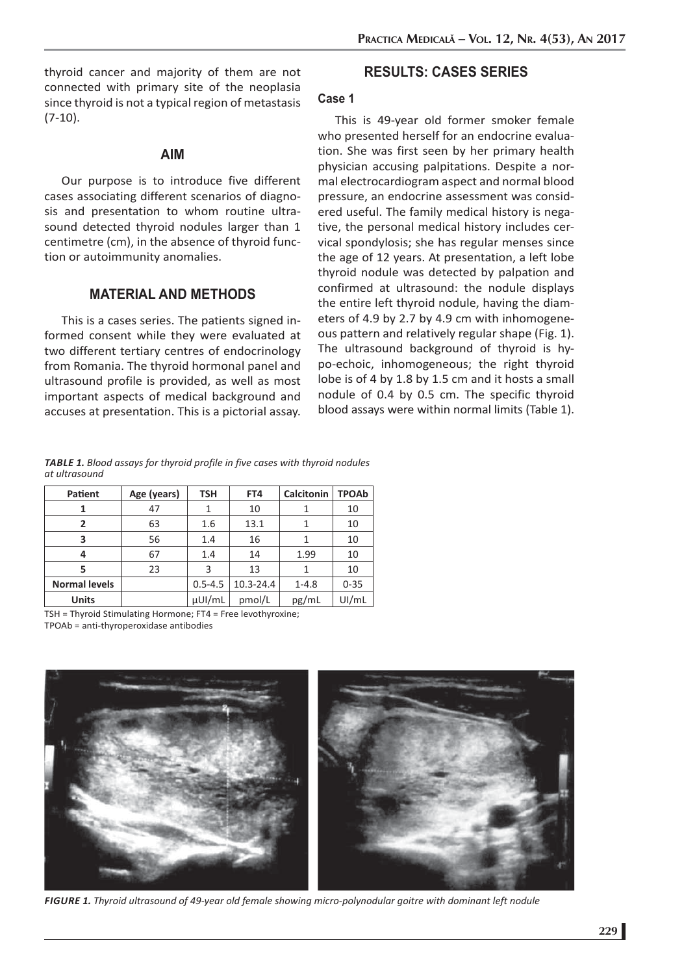thyroid cancer and majority of them are not connected with primary site of the neoplasia since thyroid is not a typical region of metastasis  $(7-10)$ .

## **AIM**

Our purpose is to introduce five different cases associating different scenarios of diagnosis and presentation to whom routine ultrasound detected thyroid nodules larger than 1 centimetre (cm), in the absence of thyroid function or autoimmunity anomalies.

# **MATERIAL AND METHODS**

This is a cases series. The patients signed informed consent while they were evaluated at two different tertiary centres of endocrinology from Romania. The thyroid hormonal panel and ultrasound profile is provided, as well as most important aspects of medical background and accuses at presentation. This is a pictorial assay.

# **RESULTS: CASES SERIES**

## **Case 1**

This is 49-year old former smoker female who presented herself for an endocrine evaluation. She was first seen by her primary health physician accusing palpitations. Despite a normal electrocardiogram aspect and normal blood pressure, an endocrine assessment was considered useful. The family medical history is negative, the personal medical history includes cervical spondylosis; she has regular menses since the age of 12 years. At presentation, a left lobe thyroid nodule was detected by palpation and confirmed at ultrasound: the nodule displays the entire left thyroid nodule, having the diameters of 4.9 by 2.7 by 4.9 cm with inhomogeneous pattern and relatively regular shape (Fig. 1). The ultrasound background of thyroid is hypo-echoic, inhomogeneous; the right thyroid lobe is of 4 by 1.8 by 1.5 cm and it hosts a small nodule of 0.4 by 0.5 cm. The specific thyroid blood assays were within normal limits (Table 1).

*TABLE 1. Blood assays for thyroid profile in five cases with thyroid nodules at ultrasound*

| Patient              | Age (years) | <b>TSH</b>  | FT4       | <b>Calcitonin</b> | <b>TPOAb</b> |
|----------------------|-------------|-------------|-----------|-------------------|--------------|
|                      | 47          |             | 10        |                   | 10           |
| 2                    | 63          | 1.6         | 13.1      |                   | 10           |
| 3                    | 56          | 1.4         | 16        |                   | 10           |
| 4                    | 67          | 1.4         | 14        | 1.99              | 10           |
|                      | 23          | 3           | 13        |                   | 10           |
| <b>Normal levels</b> |             | $0.5 - 4.5$ | 10.3-24.4 | $1 - 4.8$         | $0 - 35$     |
| <b>Units</b>         |             | µUI/mL      | pmol/L    | pg/mL             | UI/mL        |

TSH = Thyroid Stimulating Hormone; FT4 = Free levothyroxine; TPOAb = anti-thyroperoxidase antibodies



*FIGURE 1. Thyroid ultrasound of 49-year old female showing micro-polynodular goitre with dominant left nodule*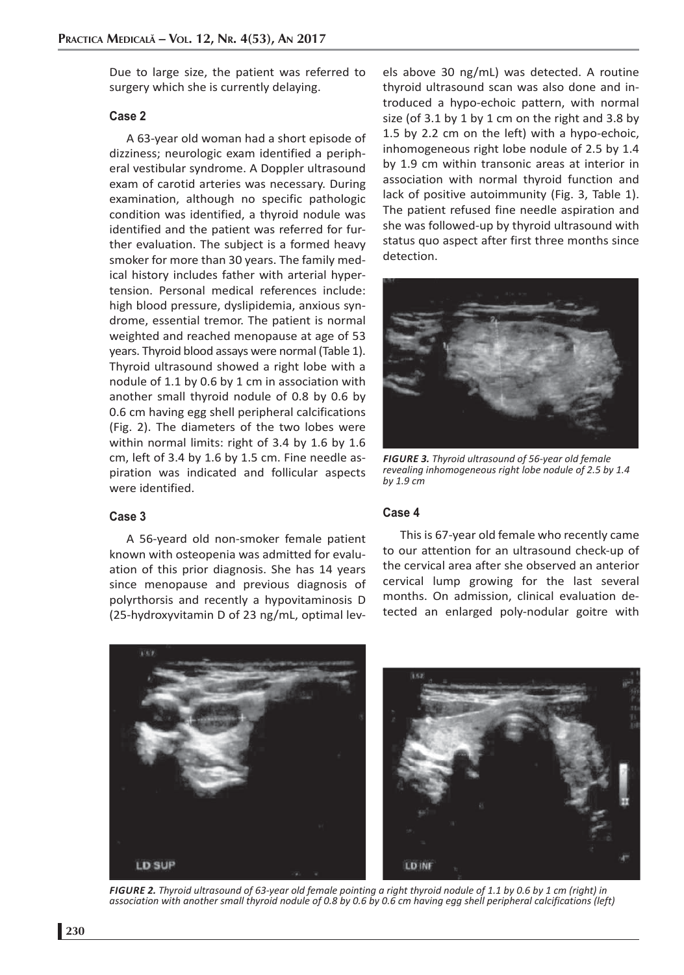Due to large size, the patient was referred to surgery which she is currently delaying.

#### **Case 2**

A 63-year old woman had a short episode of dizziness; neurologic exam identified a peripheral vestibular syndrome. A Doppler ultrasound exam of carotid arteries was necessary. During examination, although no specific pathologic condition was identified, a thyroid nodule was identified and the patient was referred for further evaluation. The subject is a formed heavy smoker for more than 30 years. The family medical history includes father with arterial hypertension. Personal medical references include: high blood pressure, dyslipidemia, anxious syndrome, essential tremor. The patient is normal weighted and reached menopause at age of 53 years. Thyroid blood assays were normal (Table 1). Thyroid ultrasound showed a right lobe with a nodule of 1.1 by 0.6 by 1 cm in association with another small thyroid nodule of 0.8 by 0.6 by 0.6 cm having egg shell peripheral calcifications (Fig. 2). The diameters of the two lobes were within normal limits: right of 3.4 by 1.6 by 1.6 cm, left of 3.4 by 1.6 by 1.5 cm. Fine needle aspiration was indicated and follicular aspects were identified.

#### **Case 3**

A 56-yeard old non-smoker female patient known with osteopenia was admitted for evaluation of this prior diagnosis. She has 14 years since menopause and previous diagnosis of polyrthorsis and recently a hypovitaminosis D (25-hydroxyvitamin D of 23 ng/mL, optimal levels above 30 ng/mL) was detected. A routine thyroid ultrasound scan was also done and introduced a hypo-echoic pattern, with normal size (of  $3.1$  by  $1$  by  $1$  cm on the right and  $3.8$  by 1.5 by 2.2 cm on the left) with a hypo-echoic, inhomogeneous right lobe nodule of 2.5 by 1.4 by 1.9 cm within transonic areas at interior in association with normal thyroid function and lack of positive autoimmunity (Fig. 3, Table 1). The patient refused fine needle aspiration and she was followed-up by thyroid ultrasound with status quo aspect after first three months since detection.



*FIGURE 3. Thyroid ultrasound of 56-year old female revealing inhomogeneous right lobe nodule of 2.5 by 1.4 by 1.9 cm*

#### **Case 4**

This is 67-year old female who recently came to our attention for an ultrasound check-up of the cervical area after she observed an anterior cervical lump growing for the last several months. On admission, clinical evaluation detected an enlarged poly-nodular goitre with



*FIGURE 2. Thyroid ultrasound of 63-year old female pointing a right thyroid nodule of 1.1 by 0.6 by 1 cm (right) in association with another small thyroid nodule of 0.8 by 0.6 by 0.6 cm having egg shell peripheral calcifications (left)*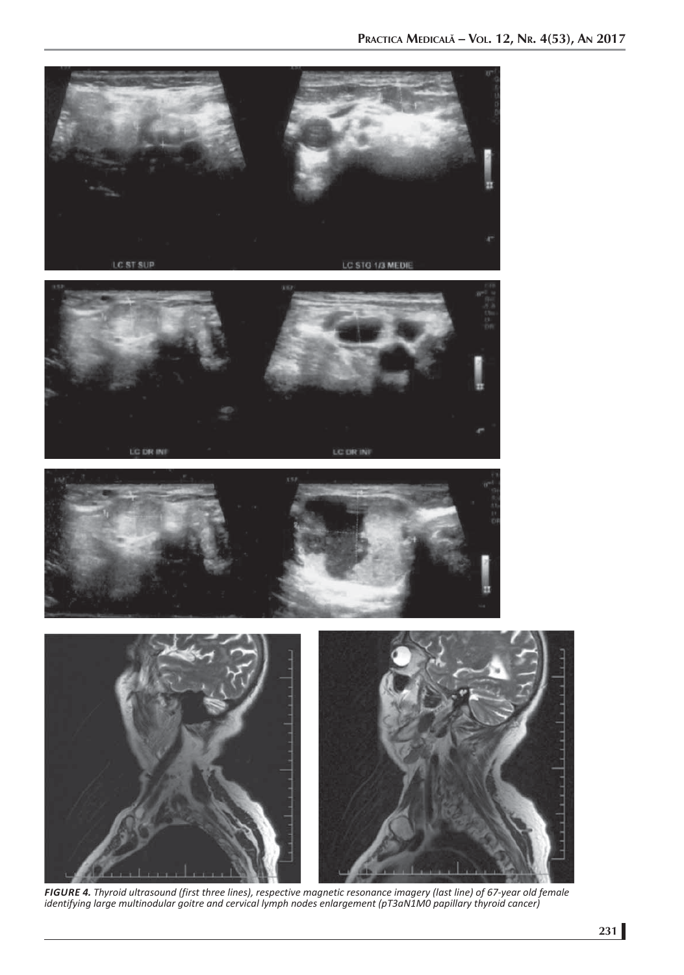







*FIGURE 4. Thyroid ultrasound (first three lines), respective magnetic resonance imagery (last line) of 67-year old female identifying large multinodular goitre and cervical lymph nodes enlargement (pT3aN1M0 papillary thyroid cancer)*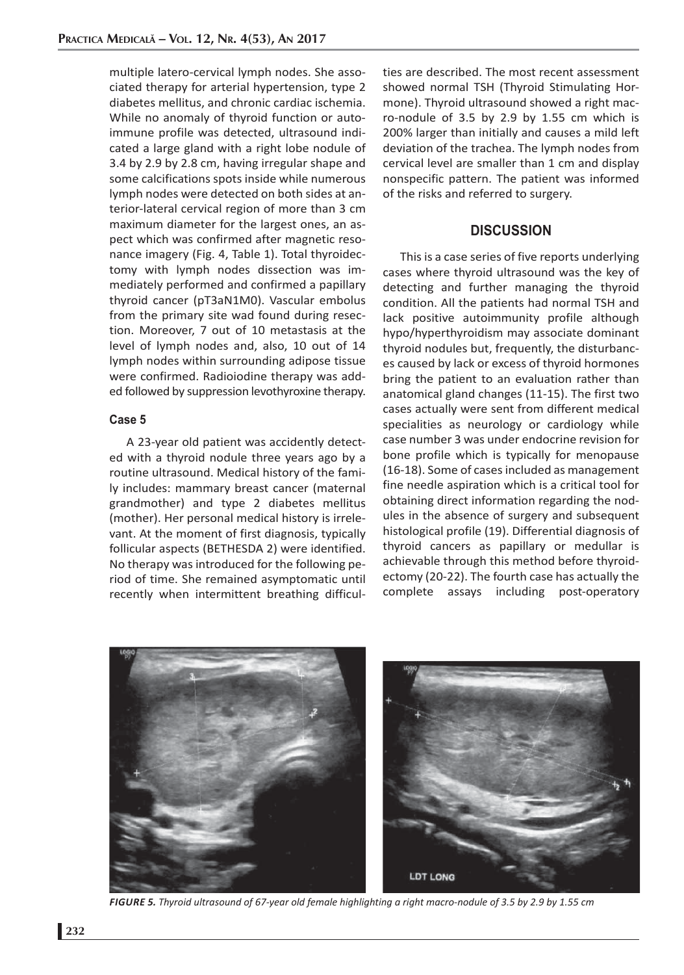multiple latero-cervical lymph nodes. She associated therapy for arterial hypertension, type 2 diabetes mellitus, and chronic cardiac ischemia. While no anomaly of thyroid function or autoimmune profile was detected, ultrasound indicated a large gland with a right lobe nodule of 3.4 by 2.9 by 2.8 cm, having irregular shape and some calcifications spots inside while numerous lymph nodes were detected on both sides at anterior-lateral cervical region of more than 3 cm maximum diameter for the largest ones, an aspect which was confirmed after magnetic resonance imagery (Fig. 4, Table 1). Total thyroidectomy with lymph nodes dissection was immediately performed and confirmed a papillary thyroid cancer (pT3aN1M0). Vascular embolus from the primary site wad found during resection. Moreover, 7 out of 10 metastasis at the level of lymph nodes and, also, 10 out of 14 lymph nodes within surrounding adipose tissue were confirmed. Radioiodine therapy was added followed by suppression levothyroxine therapy.

#### **Case 5**

A 23-year old patient was accidently detected with a thyroid nodule three years ago by a routine ultrasound. Medical history of the family includes: mammary breast cancer (maternal grandmother) and type 2 diabetes mellitus (mother). Her personal medical history is irrelevant. At the moment of first diagnosis, typically follicular aspects (BETHESDA 2) were identified. No therapy was introduced for the following period of time. She remained asymptomatic until recently when intermittent breathing difficulties are described. The most recent assessment showed normal TSH (Thyroid Stimulating Hormone). Thyroid ultrasound showed a right macro-nodule of 3.5 by 2.9 by 1.55 cm which is 200% larger than initially and causes a mild left deviation of the trachea. The lymph nodes from cervical level are smaller than 1 cm and display nonspecific pattern. The patient was informed of the risks and referred to surgery.

# **DISCUSSION**

This is a case series of five reports underlying cases where thyroid ultrasound was the key of detecting and further managing the thyroid condition. All the patients had normal TSH and lack positive autoimmunity profile although hypo/hyperthyroidism may associate dominant thyroid nodules but, frequently, the disturbances caused by lack or excess of thyroid hormones bring the patient to an evaluation rather than anatomical gland changes (11-15). The first two cases actually were sent from different medical specialities as neurology or cardiology while case number 3 was under endocrine revision for bone profile which is typically for menopause (16-18). Some of cases included as management fine needle aspiration which is a critical tool for obtaining direct information regarding the nodules in the absence of surgery and subsequent histological profile (19). Differential diagnosis of thyroid cancers as papillary or medullar is achievable through this method before thyroidectomy (20-22). The fourth case has actually the complete assays including post-operatory



*FIGURE 5. Thyroid ultrasound of 67-year old female highlighting a right macro-nodule of 3.5 by 2.9 by 1.55 cm*